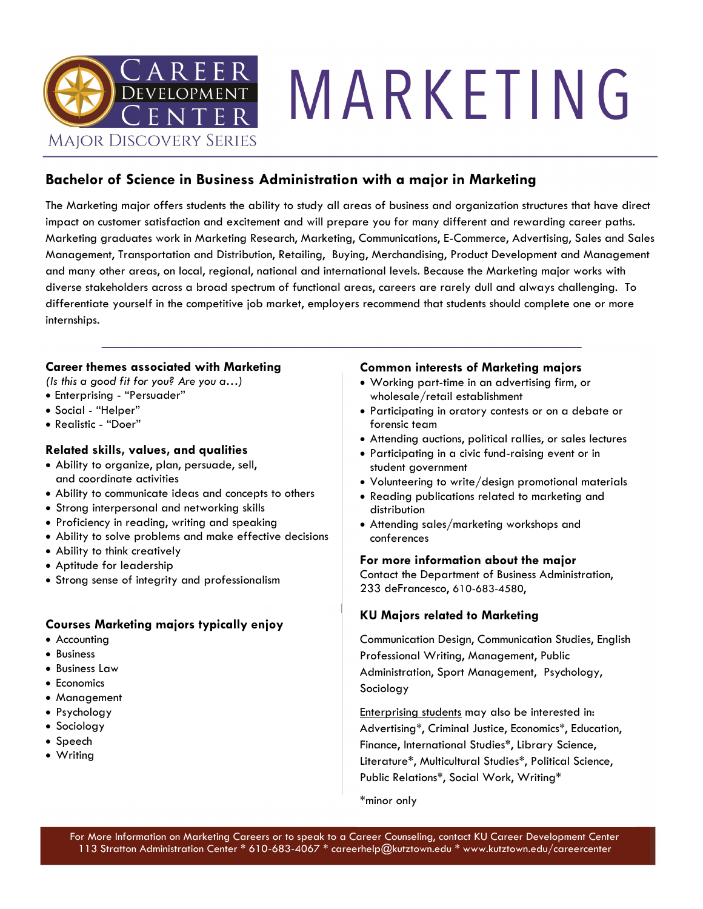

# MARKETING

### **Bachelor of Science in Business Administration with a major in Marketing**

The Marketing major offers students the ability to study all areas of business and organization structures that have direct impact on customer satisfaction and excitement and will prepare you for many different and rewarding career paths. Marketing graduates work in Marketing Research, Marketing, Communications, E-Commerce, Advertising, Sales and Sales Management, Transportation and Distribution, Retailing, Buying, Merchandising, Product Development and Management and many other areas, on local, regional, national and international levels. Because the Marketing major works with diverse stakeholders across a broad spectrum of functional areas, careers are rarely dull and always challenging. To differentiate yourself in the competitive job market, employers recommend that students should complete one or more internships.

### **Career themes associated with Marketing**

*(Is this a good fit for you? Are you a…)*

- Enterprising "Persuader"
- Social "Helper"
- Realistic "Doer"

### **Related skills, values, and qualities**

- Ability to organize, plan, persuade, sell, and coordinate activities
- Ability to communicate ideas and concepts to others
- Strong interpersonal and networking skills
- Proficiency in reading, writing and speaking
- Ability to solve problems and make effective decisions
- Ability to think creatively
- Aptitude for leadership
- Strong sense of integrity and professionalism

### **Courses Marketing majors typically enjoy**

- Accounting
- Business
- Business Law
- Economics
- Management
- Psychology
- Sociology
- Speech
- Writing

### **Common interests of Marketing majors**

- Working part-time in an advertising firm, or wholesale/retail establishment
- Participating in oratory contests or on a debate or forensic team
- Attending auctions, political rallies, or sales lectures
- Participating in a civic fund-raising event or in student government
- Volunteering to write/design promotional materials
- Reading publications related to marketing and distribution
- Attending sales/marketing workshops and conferences

#### **For more information about the major**

Contact the Department of Business Administration, 233 deFrancesco, 610-683-4580,

### **KU Majors related to Marketing**

Communication Design, Communication Studies, English Professional Writing, Management, Public Administration, Sport Management, Psychology, Sociology

Enterprising students may also be interested in: Advertising\*, Criminal Justice, Economics\*, Education, Finance, International Studies\*, Library Science, Literature\*, Multicultural Studies\*, Political Science, Public Relations\*, Social Work, Writing\*

\*minor only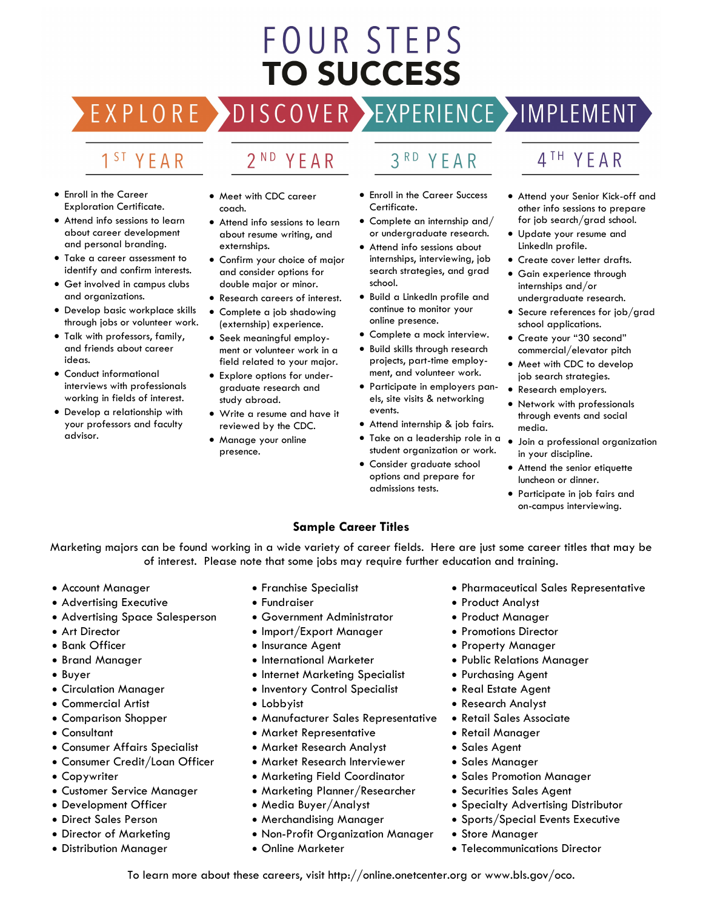# FOUR STEPS **TO SUCCESS**

DISCOVER EXPERIENCE MOPLEMENT EXPLORE >

# 1<sup>ST</sup> YEAR

- Enroll in the Career Exploration Certificate.
- Attend info sessions to learn about career development and personal branding.
- Take a career assessment to identify and confirm interests.
- Get involved in campus clubs and organizations.
- Develop basic workplace skills through jobs or volunteer work.
- Talk with professors, family, and friends about career ideas.
- Conduct informational interviews with professionals working in fields of interest.
- Develop a relationship with your professors and faculty advisor.

• Meet with CDC career coach.

2<sup>ND</sup> YEAR

- Attend info sessions to learn about resume writing, and externships.
- Confirm your choice of major and consider options for double major or minor.
- Research careers of interest. • Complete a job shadowing
- (externship) experience. • Seek meaningful employ-
- ment or volunteer work in a field related to your major. • Explore options for under-
- graduate research and study abroad.
- Write a resume and have it reviewed by the CDC.
- Manage your online presence.
- 3RD YEAR
- Enroll in the Career Success Certificate.
- Complete an internship and/ or undergraduate research.
- Attend info sessions about internships, interviewing, job search strategies, and grad school.
- Build a LinkedIn profile and continue to monitor your online presence.
- Complete a mock interview.
- Build skills through research projects, part-time employment, and volunteer work.
- Participate in employers panels, site visits & networking events.
- Attend internship & job fairs.
- Take on a leadership role in a Join a professional organization student organization or work.
- Consider graduate school options and prepare for admissions tests.

## 4<sup>TH</sup> YEAR

- Attend your Senior Kick-off and other info sessions to prepare for job search/grad school.
- Update your resume and LinkedIn profile.
- Create cover letter drafts.
- Gain experience through internships and/or undergraduate research.
- Secure references for job/grad school applications.
- Create your "30 second" commercial/elevator pitch
- Meet with CDC to develop job search strategies.
- Research employers.
- Network with professionals through events and social media.
- in your discipline.
- Attend the senior etiquette luncheon or dinner.
- Participate in job fairs and on-campus interviewing.

### **Sample Career Titles**

Marketing majors can be found working in a wide variety of career fields. Here are just some career titles that may be of interest. Please note that some jobs may require further education and training.

- Account Manager
- Advertising Executive
- Advertising Space Salesperson
- Art Director
- Bank Officer
- Brand Manager
- Buyer
- Circulation Manager
- Commercial Artist
- Comparison Shopper
- Consultant
- Consumer Affairs Specialist
- Consumer Credit/Loan Officer
- Copywriter
- Customer Service Manager
- Development Officer
- Direct Sales Person
- Director of Marketing
- Distribution Manager
- Franchise Specialist
- Fundraiser
- Government Administrator
- Import/Export Manager
- Insurance Agent
- International Marketer
- Internet Marketing Specialist
- Inventory Control Specialist
- Lobbyist
- Manufacturer Sales Representative
- Market Representative
- Market Research Analyst
- Market Research Interviewer
- Marketing Field Coordinator
- Marketing Planner/Researcher
- Media Buyer/Analyst
- Merchandising Manager
- Non-Profit Organization Manager

To learn more about these careers, visit http://online.onetcenter.org or www.bls.gov/oco.

• Online Marketer

- Pharmaceutical Sales Representative
- Product Analyst
- Product Manager
- Promotions Director
- Property Manager
- Public Relations Manager
- Purchasing Agent
- Real Estate Agent
- Research Analyst
- Retail Sales Associate
- Retail Manager
- Sales Agent
- Sales Manager

• Store Manager

- Sales Promotion Manager
- Securities Sales Agent
- Specialty Advertising Distributor • Sports/Special Events Executive

• Telecommunications Director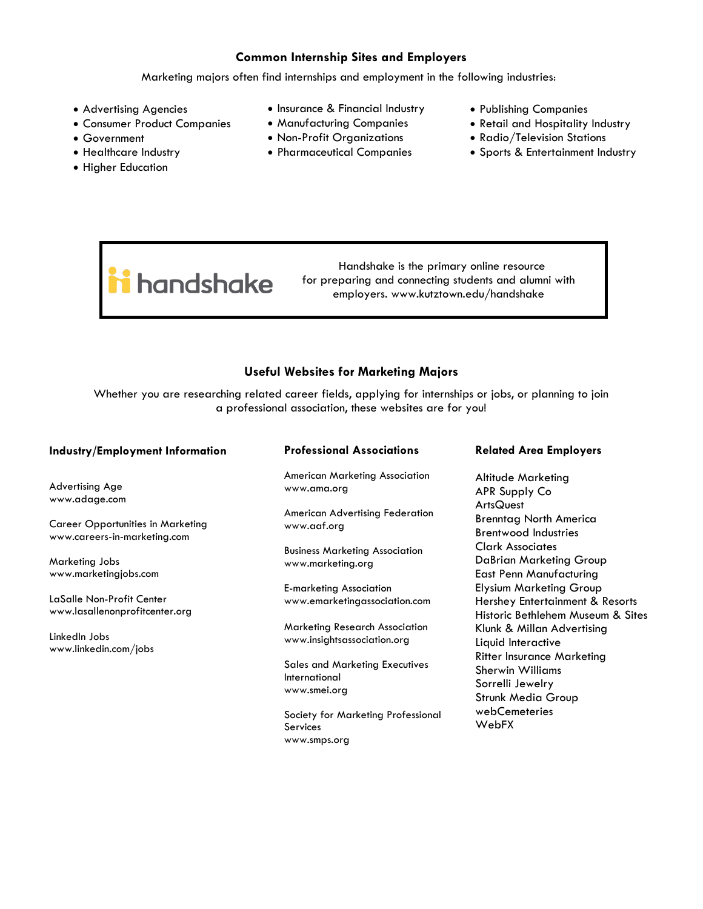### **Common Internship Sites and Employers**

Marketing majors often find internships and employment in the following industries:

- Advertising Agencies
- Consumer Product Companies
- Government
- Healthcare Industry
- Higher Education
- Insurance & Financial Industry
- Manufacturing Companies
- Non-Profit Organizations
- Pharmaceutical Companies
- Publishing Companies
- Retail and Hospitality Industry
- Radio/Television Stations
- Sports & Entertainment Industry

i handshake

 Handshake is the primary online resource for preparing and connecting students and alumni with employers. www.kutztown.edu/handshake

### **Useful Websites for Marketing Majors**

Whether you are researching related career fields, applying for internships or jobs, or planning to join a professional association, these websites are for you!

| American Marketing Association<br>Altitude Marketing<br>Advertising Age<br>www.ama.org<br>APR Supply Co<br>www.adage.com<br><b>ArtsQuest</b><br><b>American Advertising Federation</b><br><b>Brenntag North America</b><br><b>Career Opportunities in Marketing</b><br>www.aaf.org<br><b>Brentwood Industries</b><br>www.careers-in-marketing.com<br><b>Clark Associates</b><br><b>Business Marketing Association</b><br>DaBrian Marketing Group<br>Marketing Jobs<br>www.marketing.org<br>East Penn Manufacturing<br>www.marketingjobs.com<br><b>Elysium Marketing Group</b><br><b>E-marketing Association</b><br>LaSalle Non-Profit Center<br>www.emarketingassociation.com<br>Hershey Entertainment & Resorts<br>www.lasallenonprofitcenter.org<br>Historic Bethlehem Museum & Sites<br><b>Marketing Research Association</b><br>Klunk & Millan Advertising<br>LinkedIn Jobs<br>www.insightsassociation.org<br>Liquid Interactive<br>www.linkedin.com/jobs<br><b>Ritter Insurance Marketing</b><br><b>Sales and Marketing Executives</b><br><b>Sherwin Williams</b><br>International<br>Sorrelli Jewelry<br>www.smei.org<br><b>Strunk Media Group</b><br>webCemeteries<br>Society for Marketing Professional<br>WebFX<br><b>Services</b> | <b>Industry/Employment Information</b> | <b>Professional Associations</b> | <b>Related Area Employers</b> |
|---------------------------------------------------------------------------------------------------------------------------------------------------------------------------------------------------------------------------------------------------------------------------------------------------------------------------------------------------------------------------------------------------------------------------------------------------------------------------------------------------------------------------------------------------------------------------------------------------------------------------------------------------------------------------------------------------------------------------------------------------------------------------------------------------------------------------------------------------------------------------------------------------------------------------------------------------------------------------------------------------------------------------------------------------------------------------------------------------------------------------------------------------------------------------------------------------------------------------------------------|----------------------------------------|----------------------------------|-------------------------------|
|                                                                                                                                                                                                                                                                                                                                                                                                                                                                                                                                                                                                                                                                                                                                                                                                                                                                                                                                                                                                                                                                                                                                                                                                                                             |                                        |                                  |                               |
|                                                                                                                                                                                                                                                                                                                                                                                                                                                                                                                                                                                                                                                                                                                                                                                                                                                                                                                                                                                                                                                                                                                                                                                                                                             |                                        |                                  |                               |
|                                                                                                                                                                                                                                                                                                                                                                                                                                                                                                                                                                                                                                                                                                                                                                                                                                                                                                                                                                                                                                                                                                                                                                                                                                             |                                        |                                  |                               |
|                                                                                                                                                                                                                                                                                                                                                                                                                                                                                                                                                                                                                                                                                                                                                                                                                                                                                                                                                                                                                                                                                                                                                                                                                                             |                                        |                                  |                               |
|                                                                                                                                                                                                                                                                                                                                                                                                                                                                                                                                                                                                                                                                                                                                                                                                                                                                                                                                                                                                                                                                                                                                                                                                                                             |                                        |                                  |                               |
|                                                                                                                                                                                                                                                                                                                                                                                                                                                                                                                                                                                                                                                                                                                                                                                                                                                                                                                                                                                                                                                                                                                                                                                                                                             |                                        |                                  |                               |
|                                                                                                                                                                                                                                                                                                                                                                                                                                                                                                                                                                                                                                                                                                                                                                                                                                                                                                                                                                                                                                                                                                                                                                                                                                             |                                        | www.smps.org                     |                               |